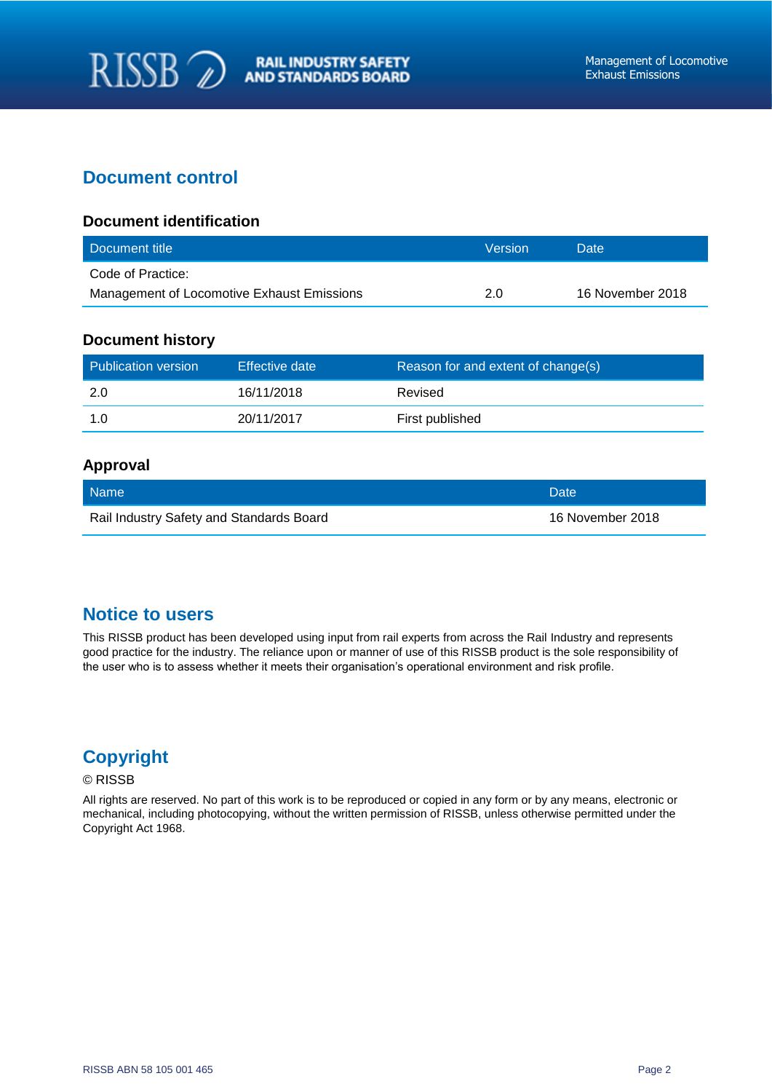## **Document control**

#### **Document identification**

| Document title                             | <b>Version</b> | Date             |
|--------------------------------------------|----------------|------------------|
| Code of Practice:                          |                |                  |
| Management of Locomotive Exhaust Emissions | 2.0            | 16 November 2018 |

#### **Document history**

| Publication version | Effective date | Reason for and extent of change(s) |
|---------------------|----------------|------------------------------------|
| -2.0                | 16/11/2018     | Revised                            |
|                     | 20/11/2017     | First published                    |

#### **Approval**

| Name                                     | <b>NDate</b>     |
|------------------------------------------|------------------|
| Rail Industry Safety and Standards Board | 16 November 2018 |

# **Notice to users**

This RISSB product has been developed using input from rail experts from across the Rail Industry and represents good practice for the industry. The reliance upon or manner of use of this RISSB product is the sole responsibility of the user who is to assess whether it meets their organisation's operational environment and risk profile.

# **Copyright**

#### © RISSB

All rights are reserved. No part of this work is to be reproduced or copied in any form or by any means, electronic or mechanical, including photocopying, without the written permission of RISSB, unless otherwise permitted under the Copyright Act 1968.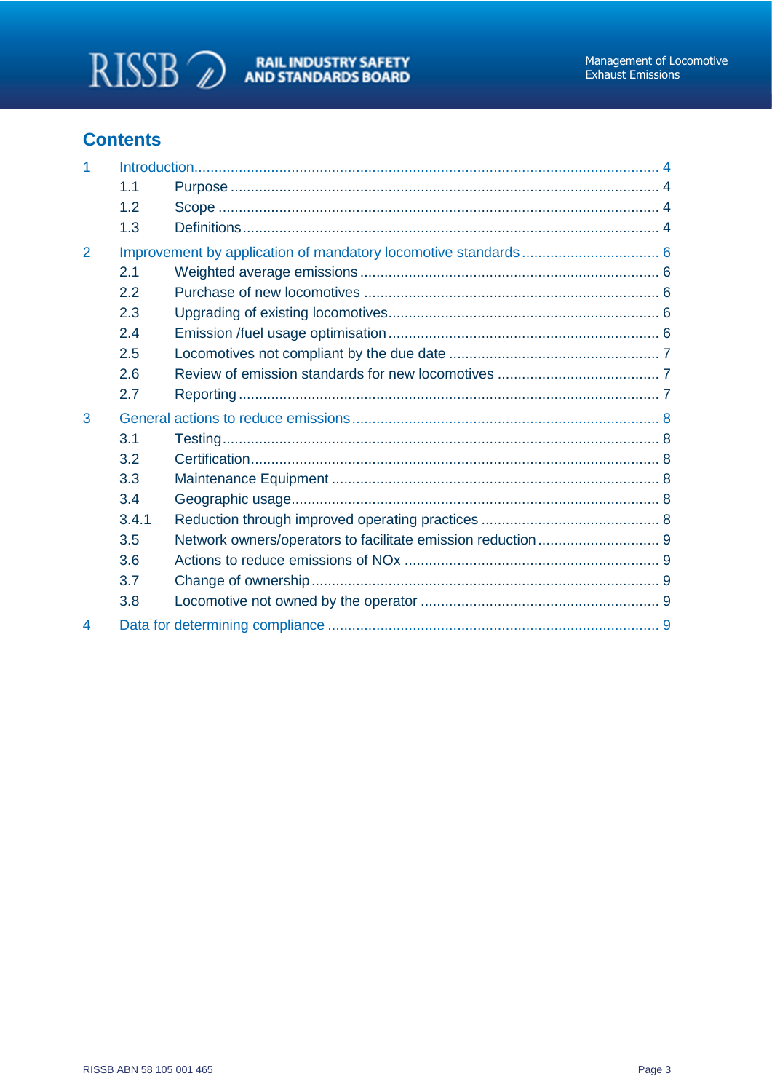

# **Contents**

| 1 |       |  |
|---|-------|--|
|   | 1.1   |  |
|   | 1.2   |  |
|   | 1.3   |  |
| 2 |       |  |
|   | 2.1   |  |
|   | 2.2   |  |
|   | 2.3   |  |
|   | 2.4   |  |
|   | 2.5   |  |
|   | 2.6   |  |
|   | 2.7   |  |
|   |       |  |
| 3 |       |  |
|   | 3.1   |  |
|   | 3.2   |  |
|   | 3.3   |  |
|   | 3.4   |  |
|   | 3.4.1 |  |
|   | 3.5   |  |
|   | 3.6   |  |
|   | 3.7   |  |
|   | 3.8   |  |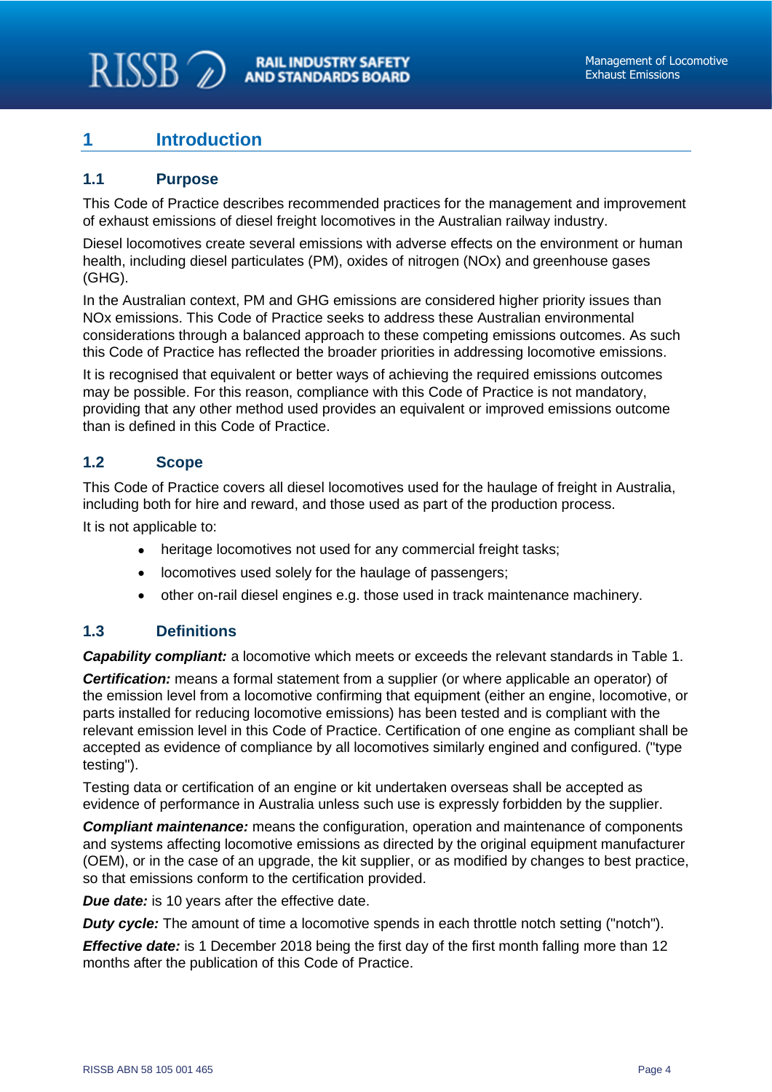## <span id="page-2-0"></span>**1 Introduction**

### <span id="page-2-1"></span>**1.1 Purpose**

This Code of Practice describes recommended practices for the management and improvement of exhaust emissions of diesel freight locomotives in the Australian railway industry.

Diesel locomotives create several emissions with adverse effects on the environment or human health, including diesel particulates (PM), oxides of nitrogen (NOx) and greenhouse gases (GHG).

In the Australian context, PM and GHG emissions are considered higher priority issues than NOx emissions. This Code of Practice seeks to address these Australian environmental considerations through a balanced approach to these competing emissions outcomes. As such this Code of Practice has reflected the broader priorities in addressing locomotive emissions.

It is recognised that equivalent or better ways of achieving the required emissions outcomes may be possible. For this reason, compliance with this Code of Practice is not mandatory, providing that any other method used provides an equivalent or improved emissions outcome than is defined in this Code of Practice.

## <span id="page-2-2"></span>**1.2 Scope**

This Code of Practice covers all diesel locomotives used for the haulage of freight in Australia, including both for hire and reward, and those used as part of the production process.

It is not applicable to:

- heritage locomotives not used for any commercial freight tasks:
- locomotives used solely for the haulage of passengers;
- other on-rail diesel engines e.g. those used in track maintenance machinery.

## <span id="page-2-3"></span>**1.3 Definitions**

*Capability compliant:* a locomotive which meets or exceeds the relevant standards in Table 1.

*Certification:* means a formal statement from a supplier (or where applicable an operator) of the emission level from a locomotive confirming that equipment (either an engine, locomotive, or parts installed for reducing locomotive emissions) has been tested and is compliant with the relevant emission level in this Code of Practice. Certification of one engine as compliant shall be accepted as evidence of compliance by all locomotives similarly engined and configured. ("type testing").

Testing data or certification of an engine or kit undertaken overseas shall be accepted as evidence of performance in Australia unless such use is expressly forbidden by the supplier.

*Compliant maintenance:* means the configuration, operation and maintenance of components and systems affecting locomotive emissions as directed by the original equipment manufacturer (OEM), or in the case of an upgrade, the kit supplier, or as modified by changes to best practice, so that emissions conform to the certification provided.

*Due date:* is 10 years after the effective date.

*Duty cycle:* The amount of time a locomotive spends in each throttle notch setting ("notch").

*Effective date:* is 1 December 2018 being the first day of the first month falling more than 12 months after the publication of this Code of Practice.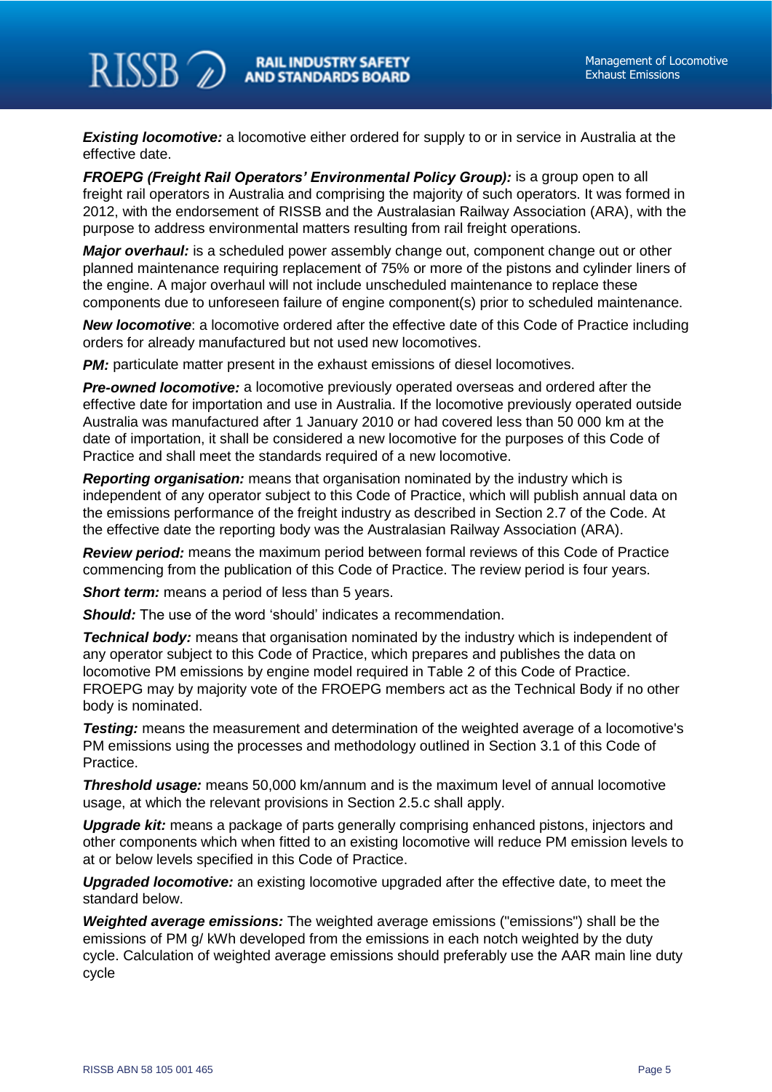**Existing locomotive:** a locomotive either ordered for supply to or in service in Australia at the effective date.

**RAIL INDUSTRY SAFETY AND STANDARDS BOARD** 

*FROEPG (Freight Rail Operators' Environmental Policy Group):* **is a group open to all** freight rail operators in Australia and comprising the majority of such operators. It was formed in 2012, with the endorsement of RISSB and the Australasian Railway Association (ARA), with the purpose to address environmental matters resulting from rail freight operations.

*Major overhaul:* is a scheduled power assembly change out, component change out or other planned maintenance requiring replacement of 75% or more of the pistons and cylinder liners of the engine. A major overhaul will not include unscheduled maintenance to replace these components due to unforeseen failure of engine component(s) prior to scheduled maintenance.

*New locomotive*: a locomotive ordered after the effective date of this Code of Practice including orders for already manufactured but not used new locomotives.

**PM:** particulate matter present in the exhaust emissions of diesel locomotives.

*Pre-owned locomotive:* a locomotive previously operated overseas and ordered after the effective date for importation and use in Australia. If the locomotive previously operated outside Australia was manufactured after 1 January 2010 or had covered less than 50 000 km at the date of importation, it shall be considered a new locomotive for the purposes of this Code of Practice and shall meet the standards required of a new locomotive.

*Reporting organisation:* means that organisation nominated by the industry which is independent of any operator subject to this Code of Practice, which will publish annual data on the emissions performance of the freight industry as described in Section 2.7 of the Code. At the effective date the reporting body was the Australasian Railway Association (ARA).

*Review period:* means the maximum period between formal reviews of this Code of Practice commencing from the publication of this Code of Practice. The review period is four years.

*Short term:* means a period of less than 5 years.

 $RISSB \nightharpoonup$ 

*Should:* The use of the word 'should' indicates a recommendation.

**Technical body:** means that organisation nominated by the industry which is independent of any operator subject to this Code of Practice, which prepares and publishes the data on locomotive PM emissions by engine model required in Table 2 of this Code of Practice. FROEPG may by majority vote of the FROEPG members act as the Technical Body if no other body is nominated.

*Testing:* means the measurement and determination of the weighted average of a locomotive's PM emissions using the processes and methodology outlined in Section 3.1 of this Code of Practice.

*Threshold usage:* means 50,000 km/annum and is the maximum level of annual locomotive usage, at which the relevant provisions in Section 2.5.c shall apply.

*Upgrade kit:* means a package of parts generally comprising enhanced pistons, injectors and other components which when fitted to an existing locomotive will reduce PM emission levels to at or below levels specified in this Code of Practice.

*Upgraded locomotive:* an existing locomotive upgraded after the effective date, to meet the standard below.

*Weighted average emissions:* The weighted average emissions ("emissions") shall be the emissions of PM g/ kWh developed from the emissions in each notch weighted by the duty cycle. Calculation of weighted average emissions should preferably use the AAR main line duty cycle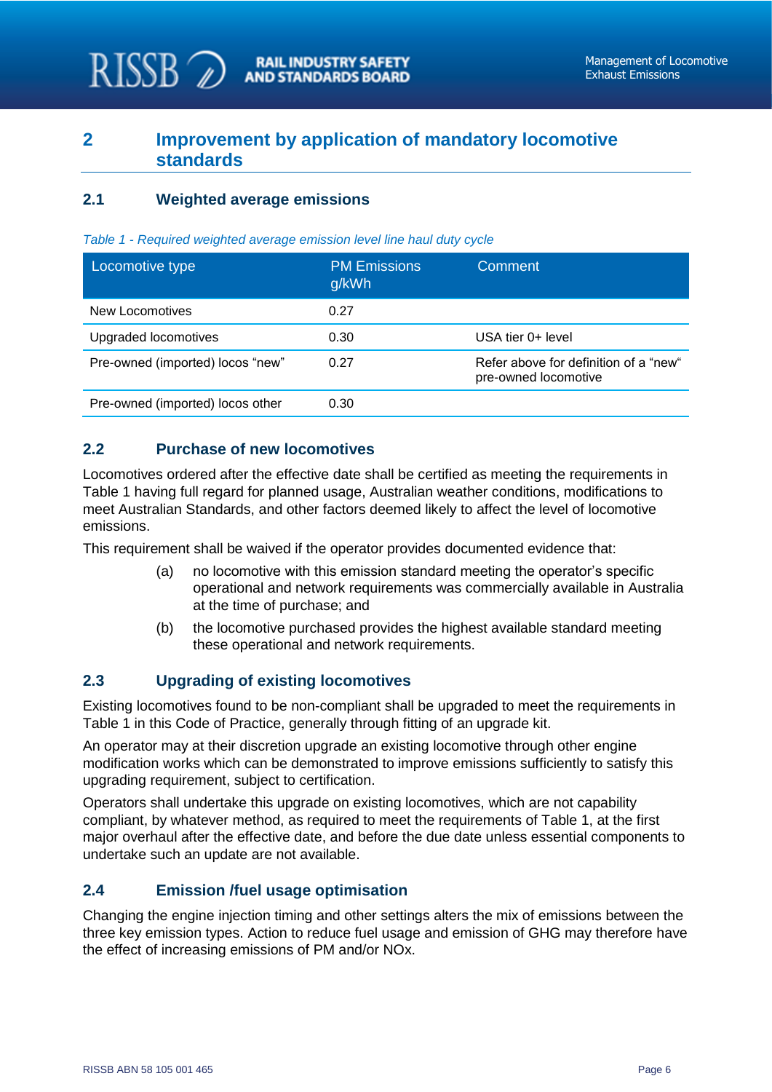## <span id="page-4-0"></span>**2 Improvement by application of mandatory locomotive standards**

**RAIL INDUSTRY SAFETY AND STANDARDS BOARD** 

#### <span id="page-4-1"></span>**2.1 Weighted average emissions**

 $RISSB\mathbb{Z}$ 

| Locomotive type                  | <b>PM Emissions</b><br>g/kWh | Comment                                                       |
|----------------------------------|------------------------------|---------------------------------------------------------------|
| New Locomotives                  | 0.27                         |                                                               |
| Upgraded locomotives             | 0.30                         | USA tier 0+ level                                             |
| Pre-owned (imported) locos "new" | 0.27                         | Refer above for definition of a "new"<br>pre-owned locomotive |
| Pre-owned (imported) locos other | 0.30                         |                                                               |

#### *Table 1 - Required weighted average emission level line haul duty cycle*

#### <span id="page-4-2"></span>**2.2 Purchase of new locomotives**

Locomotives ordered after the effective date shall be certified as meeting the requirements in Table 1 having full regard for planned usage, Australian weather conditions, modifications to meet Australian Standards, and other factors deemed likely to affect the level of locomotive emissions.

This requirement shall be waived if the operator provides documented evidence that:

- (a) no locomotive with this emission standard meeting the operator's specific operational and network requirements was commercially available in Australia at the time of purchase; and
- (b) the locomotive purchased provides the highest available standard meeting these operational and network requirements.

#### <span id="page-4-3"></span>**2.3 Upgrading of existing locomotives**

Existing locomotives found to be non-compliant shall be upgraded to meet the requirements in Table 1 in this Code of Practice, generally through fitting of an upgrade kit.

An operator may at their discretion upgrade an existing locomotive through other engine modification works which can be demonstrated to improve emissions sufficiently to satisfy this upgrading requirement, subject to certification.

Operators shall undertake this upgrade on existing locomotives, which are not capability compliant, by whatever method, as required to meet the requirements of Table 1, at the first major overhaul after the effective date, and before the due date unless essential components to undertake such an update are not available.

#### <span id="page-4-4"></span>**2.4 Emission /fuel usage optimisation**

Changing the engine injection timing and other settings alters the mix of emissions between the three key emission types. Action to reduce fuel usage and emission of GHG may therefore have the effect of increasing emissions of PM and/or NOx.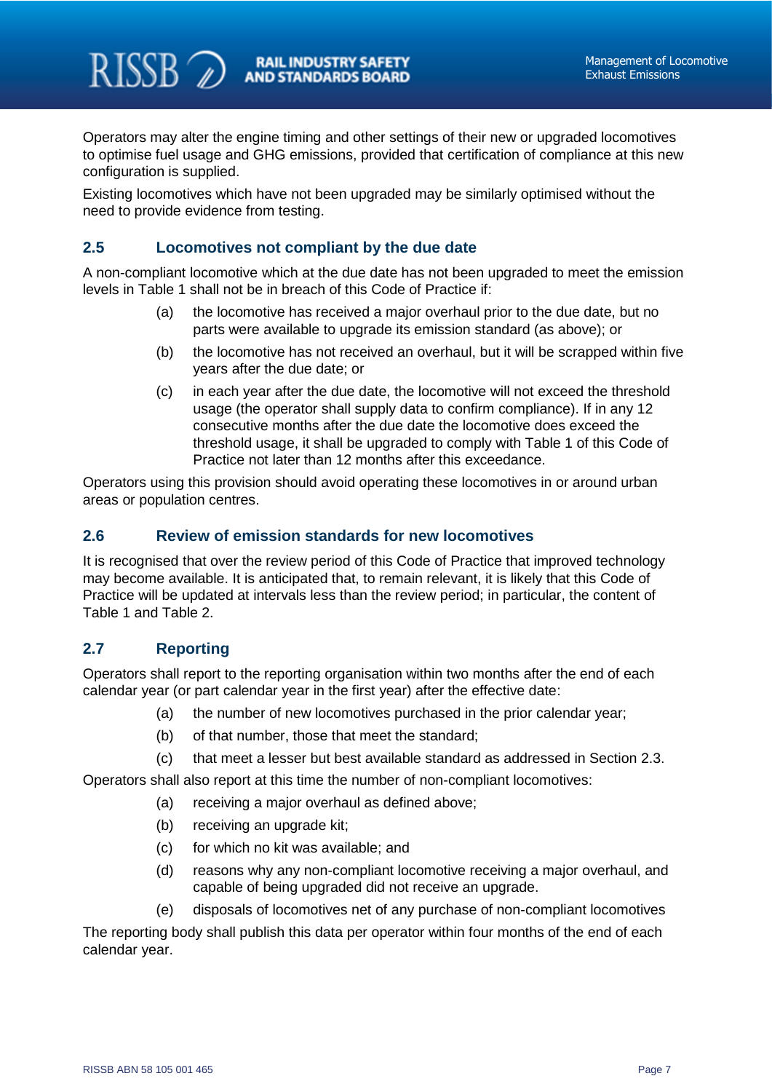Operators may alter the engine timing and other settings of their new or upgraded locomotives to optimise fuel usage and GHG emissions, provided that certification of compliance at this new configuration is supplied.

Existing locomotives which have not been upgraded may be similarly optimised without the need to provide evidence from testing.

#### <span id="page-5-0"></span>**2.5 Locomotives not compliant by the due date**

A non-compliant locomotive which at the due date has not been upgraded to meet the emission levels in Table 1 shall not be in breach of this Code of Practice if:

- (a) the locomotive has received a major overhaul prior to the due date, but no parts were available to upgrade its emission standard (as above); or
- (b) the locomotive has not received an overhaul, but it will be scrapped within five years after the due date; or
- (c) in each year after the due date, the locomotive will not exceed the threshold usage (the operator shall supply data to confirm compliance). If in any 12 consecutive months after the due date the locomotive does exceed the threshold usage, it shall be upgraded to comply with Table 1 of this Code of Practice not later than 12 months after this exceedance.

Operators using this provision should avoid operating these locomotives in or around urban areas or population centres.

#### <span id="page-5-1"></span>**2.6 Review of emission standards for new locomotives**

It is recognised that over the review period of this Code of Practice that improved technology may become available. It is anticipated that, to remain relevant, it is likely that this Code of Practice will be updated at intervals less than the review period; in particular, the content of Table 1 and Table 2.

#### <span id="page-5-2"></span>**2.7 Reporting**

 $RISSB \nightharpoonup$ 

Operators shall report to the reporting organisation within two months after the end of each calendar year (or part calendar year in the first year) after the effective date:

- (a) the number of new locomotives purchased in the prior calendar year;
- (b) of that number, those that meet the standard;
- (c) that meet a lesser but best available standard as addressed in Section 2.3.

Operators shall also report at this time the number of non-compliant locomotives:

- (a) receiving a major overhaul as defined above;
- (b) receiving an upgrade kit;
- (c) for which no kit was available; and
- (d) reasons why any non-compliant locomotive receiving a major overhaul, and capable of being upgraded did not receive an upgrade.
- (e) disposals of locomotives net of any purchase of non-compliant locomotives

The reporting body shall publish this data per operator within four months of the end of each calendar year.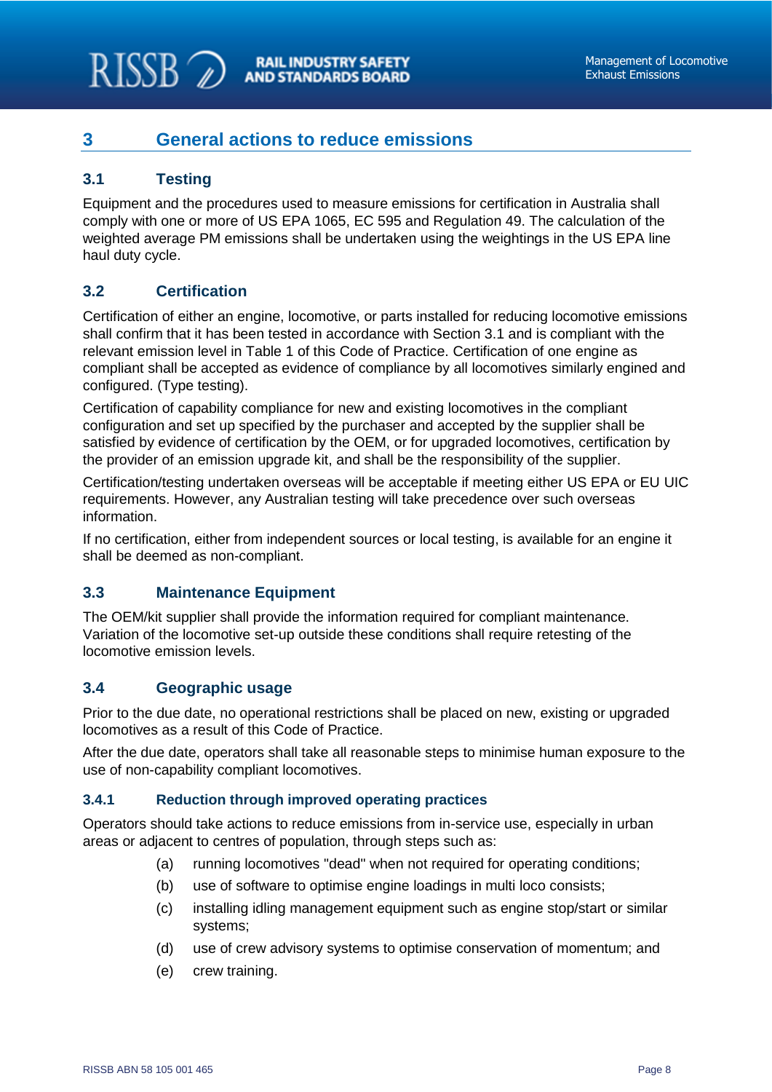## <span id="page-6-0"></span>**3 General actions to reduce emissions**

### <span id="page-6-1"></span>**3.1 Testing**

 $RISSB 2$ 

Equipment and the procedures used to measure emissions for certification in Australia shall comply with one or more of US EPA 1065, EC 595 and Regulation 49. The calculation of the weighted average PM emissions shall be undertaken using the weightings in the US EPA line haul duty cycle.

## <span id="page-6-2"></span>**3.2 Certification**

Certification of either an engine, locomotive, or parts installed for reducing locomotive emissions shall confirm that it has been tested in accordance with Section 3.1 and is compliant with the relevant emission level in Table 1 of this Code of Practice. Certification of one engine as compliant shall be accepted as evidence of compliance by all locomotives similarly engined and configured. (Type testing).

Certification of capability compliance for new and existing locomotives in the compliant configuration and set up specified by the purchaser and accepted by the supplier shall be satisfied by evidence of certification by the OEM, or for upgraded locomotives, certification by the provider of an emission upgrade kit, and shall be the responsibility of the supplier.

Certification/testing undertaken overseas will be acceptable if meeting either US EPA or EU UIC requirements. However, any Australian testing will take precedence over such overseas information.

If no certification, either from independent sources or local testing, is available for an engine it shall be deemed as non-compliant.

#### <span id="page-6-3"></span>**3.3 Maintenance Equipment**

The OEM/kit supplier shall provide the information required for compliant maintenance. Variation of the locomotive set-up outside these conditions shall require retesting of the locomotive emission levels.

#### <span id="page-6-4"></span>**3.4 Geographic usage**

Prior to the due date, no operational restrictions shall be placed on new, existing or upgraded locomotives as a result of this Code of Practice.

After the due date, operators shall take all reasonable steps to minimise human exposure to the use of non-capability compliant locomotives.

#### <span id="page-6-5"></span>**3.4.1 Reduction through improved operating practices**

Operators should take actions to reduce emissions from in-service use, especially in urban areas or adjacent to centres of population, through steps such as:

- (a) running locomotives "dead" when not required for operating conditions;
- (b) use of software to optimise engine loadings in multi loco consists;
- (c) installing idling management equipment such as engine stop/start or similar systems;
- (d) use of crew advisory systems to optimise conservation of momentum; and
- (e) crew training.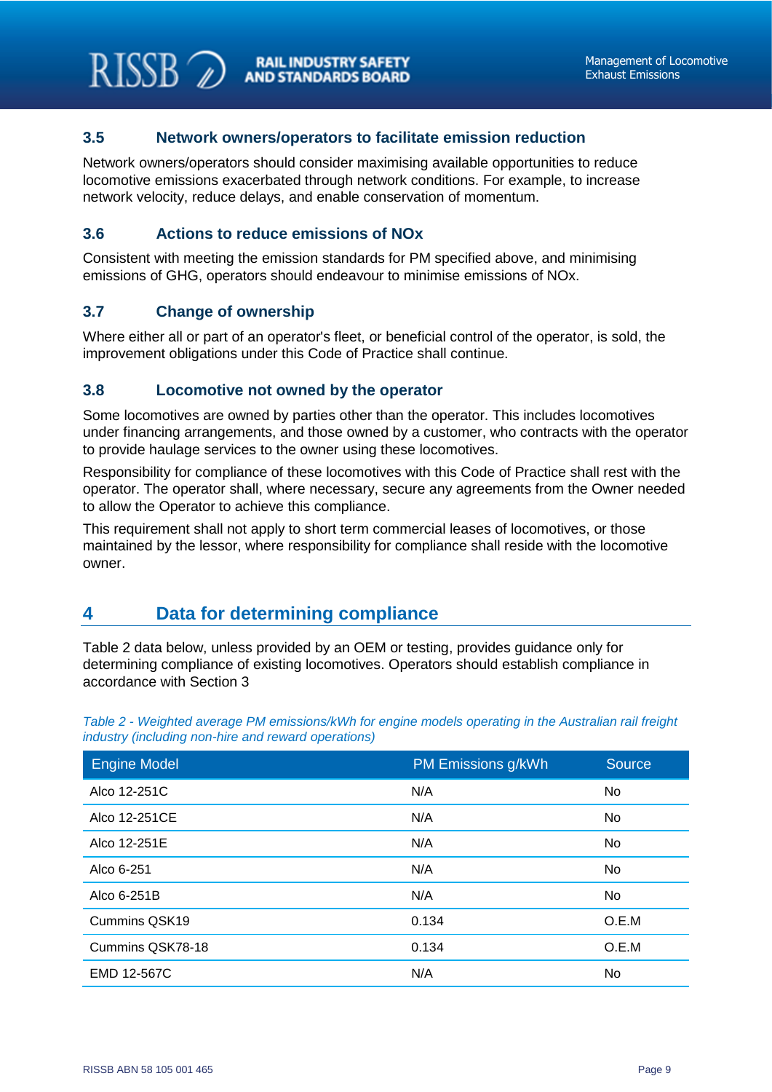#### <span id="page-7-0"></span>**3.5 Network owners/operators to facilitate emission reduction**

Network owners/operators should consider maximising available opportunities to reduce locomotive emissions exacerbated through network conditions. For example, to increase network velocity, reduce delays, and enable conservation of momentum.

#### <span id="page-7-1"></span>**3.6 Actions to reduce emissions of NOx**

Consistent with meeting the emission standards for PM specified above, and minimising emissions of GHG, operators should endeavour to minimise emissions of NOx.

#### <span id="page-7-2"></span>**3.7 Change of ownership**

 $RISSB$ 

Where either all or part of an operator's fleet, or beneficial control of the operator, is sold, the improvement obligations under this Code of Practice shall continue.

#### <span id="page-7-3"></span>**3.8 Locomotive not owned by the operator**

Some locomotives are owned by parties other than the operator. This includes locomotives under financing arrangements, and those owned by a customer, who contracts with the operator to provide haulage services to the owner using these locomotives.

Responsibility for compliance of these locomotives with this Code of Practice shall rest with the operator. The operator shall, where necessary, secure any agreements from the Owner needed to allow the Operator to achieve this compliance.

This requirement shall not apply to short term commercial leases of locomotives, or those maintained by the lessor, where responsibility for compliance shall reside with the locomotive owner.

## <span id="page-7-4"></span>**4 Data for determining compliance**

Table 2 data below, unless provided by an OEM or testing, provides guidance only for determining compliance of existing locomotives. Operators should establish compliance in accordance with Section 3

| <b>Engine Model</b>  | PM Emissions g/kWh | <b>Source</b> |
|----------------------|--------------------|---------------|
| Alco 12-251C         | N/A                | No            |
| Alco 12-251CE        | N/A                | No            |
| Alco 12-251E         | N/A                | No            |
| Alco 6-251           | N/A                | No            |
| Alco 6-251B          | N/A                | No            |
| <b>Cummins QSK19</b> | 0.134              | O.E.M         |
| Cummins QSK78-18     | 0.134              | O.E.M         |
| EMD 12-567C          | N/A                | No            |

*Table 2 - Weighted average PM emissions/kWh for engine models operating in the Australian rail freight industry (including non-hire and reward operations)*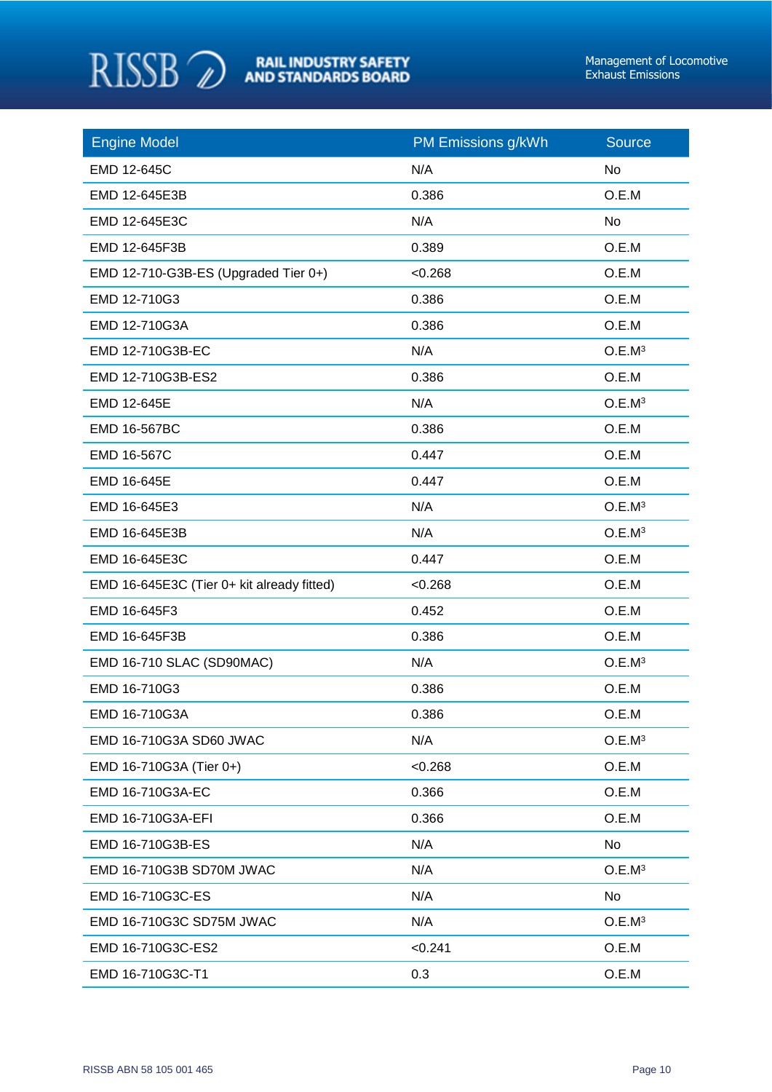

| <b>Engine Model</b>                        | PM Emissions g/kWh | <b>Source</b>      |
|--------------------------------------------|--------------------|--------------------|
| EMD 12-645C                                | N/A                | No                 |
| EMD 12-645E3B                              | 0.386              | O.E.M              |
| EMD 12-645E3C                              | N/A                | <b>No</b>          |
| EMD 12-645F3B                              | 0.389              | O.E.M              |
| EMD 12-710-G3B-ES (Upgraded Tier 0+)       | < 0.268            | O.E.M              |
| EMD 12-710G3                               | 0.386              | O.E.M              |
| EMD 12-710G3A                              | 0.386              | O.E.M              |
| EMD 12-710G3B-EC                           | N/A                | O.E.M <sup>3</sup> |
| EMD 12-710G3B-ES2                          | 0.386              | O.E.M              |
| EMD 12-645E                                | N/A                | O.E.M <sup>3</sup> |
| EMD 16-567BC                               | 0.386              | O.E.M              |
| EMD 16-567C                                | 0.447              | O.E.M              |
| EMD 16-645E                                | 0.447              | O.E.M              |
| EMD 16-645E3                               | N/A                | O.E.M <sup>3</sup> |
| EMD 16-645E3B                              | N/A                | O.E.M <sup>3</sup> |
| EMD 16-645E3C                              | 0.447              | O.E.M              |
| EMD 16-645E3C (Tier 0+ kit already fitted) | < 0.268            | O.E.M              |
| EMD 16-645F3                               | 0.452              | O.E.M              |
| EMD 16-645F3B                              | 0.386              | O.E.M              |
| EMD 16-710 SLAC (SD90MAC)                  | N/A                | O.E.M <sup>3</sup> |
| EMD 16-710G3                               | 0.386              | O.E.M              |
| EMD 16-710G3A                              | 0.386              | O.E.M              |
| EMD 16-710G3A SD60 JWAC                    | N/A                | O.E.M <sup>3</sup> |
| EMD 16-710G3A (Tier 0+)                    | < 0.268            | O.E.M              |
| EMD 16-710G3A-EC                           | 0.366              | O.E.M              |
| EMD 16-710G3A-EFI                          | 0.366              | O.E.M              |
| EMD 16-710G3B-ES                           | N/A                | No                 |
| EMD 16-710G3B SD70M JWAC                   | N/A                | O.E.M <sup>3</sup> |
| EMD 16-710G3C-ES                           | N/A                | No                 |
| EMD 16-710G3C SD75M JWAC                   | N/A                | O.E.M <sup>3</sup> |
| EMD 16-710G3C-ES2                          | < 0.241            | O.E.M              |
| EMD 16-710G3C-T1                           | 0.3                | O.E.M              |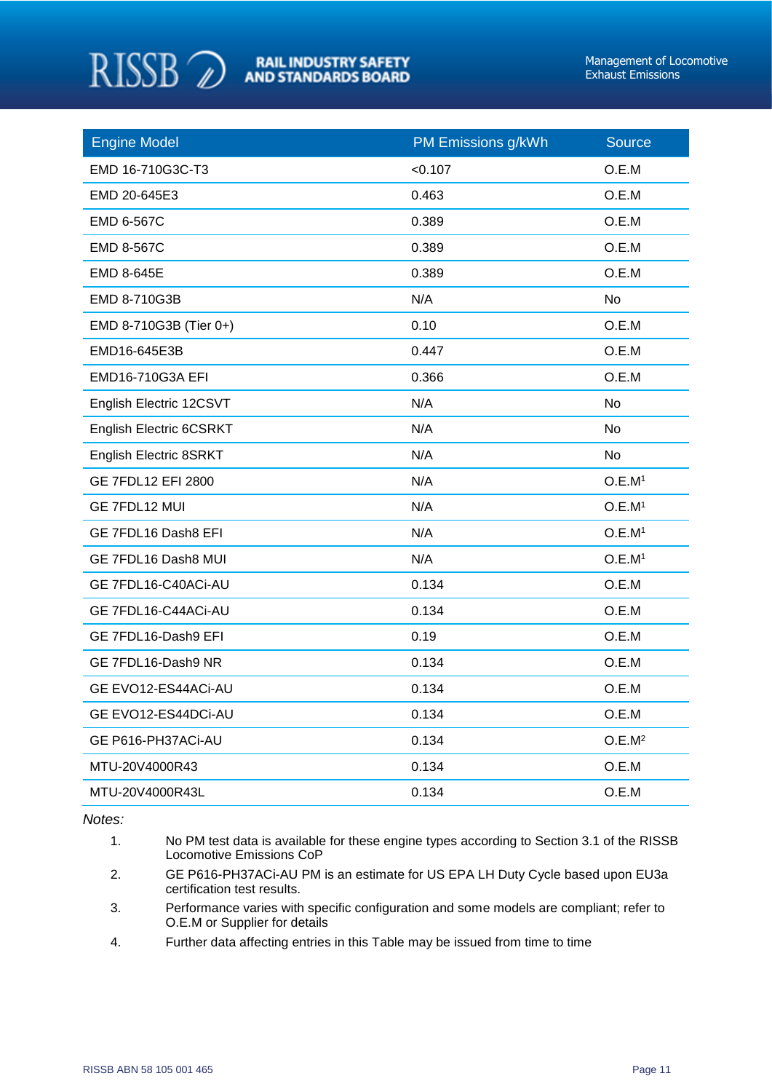

| <b>Engine Model</b>            | PM Emissions g/kWh | <b>Source</b>      |
|--------------------------------|--------------------|--------------------|
| EMD 16-710G3C-T3               | < 0.107            | O.E.M              |
| EMD 20-645E3                   | 0.463              | O.E.M              |
| EMD 6-567C                     | 0.389              | O.E.M              |
| <b>EMD 8-567C</b>              | 0.389              | O.E.M              |
| EMD 8-645E                     | 0.389              | O.E.M              |
| EMD 8-710G3B                   | N/A                | No                 |
| EMD 8-710G3B (Tier 0+)         | 0.10               | O.E.M              |
| EMD16-645E3B                   | 0.447              | O.E.M              |
| EMD16-710G3A EFI               | 0.366              | O.E.M              |
| English Electric 12CSVT        | N/A                | <b>No</b>          |
| <b>English Electric 6CSRKT</b> | N/A                | No                 |
| English Electric 8SRKT         | N/A                | No                 |
| <b>GE 7FDL12 EFI 2800</b>      | N/A                | O.E.M <sup>1</sup> |
| GE 7FDL12 MUI                  | N/A                | O.E.M <sup>1</sup> |
| GE 7FDL16 Dash8 EFI            | N/A                | O.E.M <sup>1</sup> |
| GE 7FDL16 Dash8 MUI            | N/A                | O.E.M <sup>1</sup> |
| GE 7FDL16-C40ACi-AU            | 0.134              | O.E.M              |
| GE 7FDL16-C44ACi-AU            | 0.134              | O.E.M              |
| GE 7FDL16-Dash9 EFI            | 0.19               | O.E.M              |
| GE 7FDL16-Dash9 NR             | 0.134              | O.E.M              |
| GE EVO12-ES44ACi-AU            | 0.134              | O.E.M              |
| GE EVO12-ES44DCi-AU            | 0.134              | O.E.M              |
| GE P616-PH37ACi-AU             | 0.134              | O.E.M <sup>2</sup> |
| MTU-20V4000R43                 | 0.134              | O.E.M              |
| MTU-20V4000R43L                | 0.134              | O.E.M              |

*Notes:*

- 1. No PM test data is available for these engine types according to Section 3.1 of the RISSB Locomotive Emissions CoP
- 2. GE P616-PH37ACi-AU PM is an estimate for US EPA LH Duty Cycle based upon EU3a certification test results.
- 3. Performance varies with specific configuration and some models are compliant; refer to O.E.M or Supplier for details
- 4. Further data affecting entries in this Table may be issued from time to time